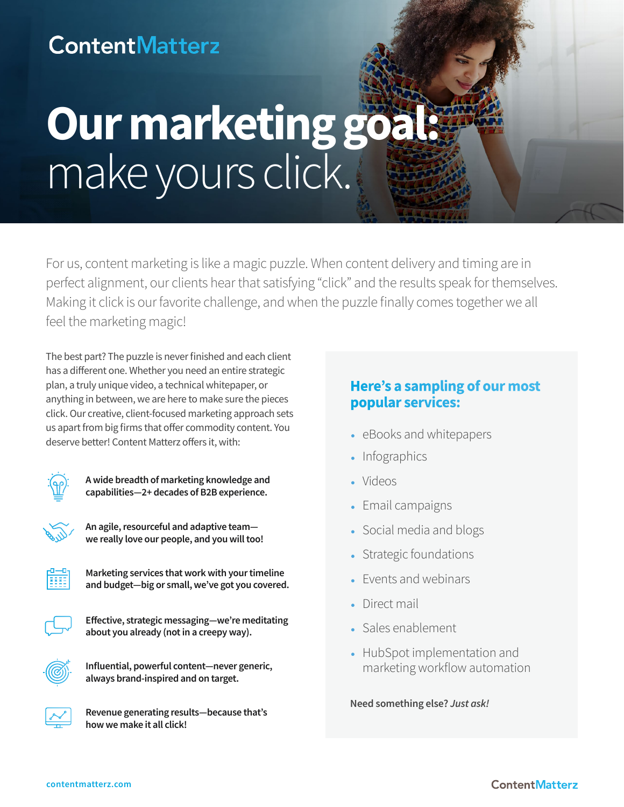## **ContentMatterz**

# **Our marketing goa** make yours click.

For us, content marketing is like a magic puzzle. When content delivery and timing are in perfect alignment, our clients hear that satisfying "click" and the results speak for themselves. Making it click is our favorite challenge, and when the puzzle finally comes together we all feel the marketing magic!

The best part? The puzzle is never finished and each client has a different one. Whether you need an entire strategic plan, a truly unique video, a technical whitepaper, or anything in between, we are here to make sure the pieces click. Our creative, client-focused marketing approach sets us apart from big firms that offer commodity content. You deserve better! Content Matterz offers it, with:

**A wide breadth of marketing knowledge and capabilities—2+ decades of B2B experience.** 



**An agile, resourceful and adaptive team we really love our people, and you will too!**



**Marketing services that work with your timeline and budget—big or small, we've got you covered.**



**Effective, strategic messaging—we're meditating about you already (not in a creepy way).** 



**Influential, powerful content—never generic, always brand-inspired and on target.**



**Revenue generating results—because that's how we make it all click!**

#### **Here's a sampling of our most popular services:**

- eBooks and whitepapers
- Infographics
- Videos
- Email campaigns
- Social media and blogs
- Strategic foundations
- Events and webinars
- Direct mail
- Sales enablement
- HubSpot implementation and marketing workflow automation

**Need something else?** *Just ask!*